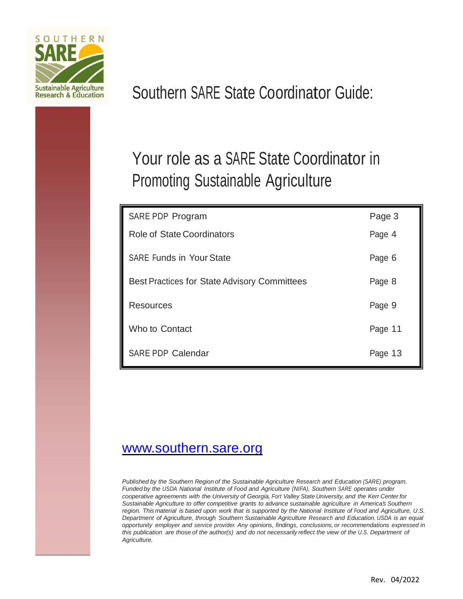

# Southern SARE State Coordinator Guide:

# Your role as a SARE State Coordinator in Promoting Sustainable Agriculture

| SARE PDP Program                                    | Page 3  |
|-----------------------------------------------------|---------|
| <b>Role of State Coordinators</b>                   | Page 4  |
| <b>SARE Funds in Your State</b>                     | Page 6  |
| <b>Best Practices for State Advisory Committees</b> | Page 8  |
| <b>Resources</b>                                    | Page 9  |
| Who to Contact                                      | Page 11 |
| <b>SARE PDP Calendar</b>                            | Page 13 |

# [www.southern.sare.org](http://www.southern.sare.org/)

*Published by the Southern Region of the Sustainable Agriculture Research and Education (SARE) program. Funded by the USDA National Institute of Food and Agriculture (NIFA), Southern SARE operates under cooperative agreements with the University of Georgia, Fort Valley State University, and the Kerr Center for Sustainable Agriculture to offer competitive grants to advance sustainable agriculture in America's Southern*  region. This material is based upon work that is supported by the National Institute of Food and Agriculture, U.S. *Department of Agriculture, through Southern Sustainable Agriculture Research and Education. USDA is an equal opportunity employer and service provider. Any opinions, findings, conclusions, or recommendations expressed in* this publication are those of the author(s) and do not necessarily reflect the view of the U.S. Department of *Agriculture.*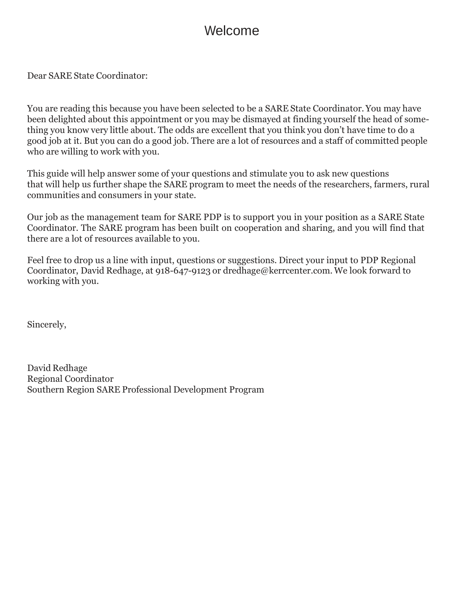# Welcome

Dear SARE State Coordinator:

You are reading this because you have been selected to be a SARE State Coordinator. You may have been delighted about this appointment or you may be dismayed at finding yourself the head of something you know very little about. The odds are excellent that you think you don't have time to do a good job at it. But you can do a good job. There are a lot of resources and a staff of committed people who are willing to work with you.

This guide will help answer some of your questions and stimulate you to ask new questions that will help us further shape the SARE program to meet the needs of the researchers, farmers, rural communities and consumers in your state.

Our job as the management team for SARE PDP is to support you in your position as a SARE State Coordinator. The SARE program has been built on cooperation and sharing, and you will find that there are a lot of resources available to you.

Feel free to drop us a line with input, questions or suggestions. Direct your input to PDP Regional Coordinator, David Redhage, at 918-647-9123 or [dredhage@kerrcenter.com.](mailto:dredhage@kerrcenter.com) We look forward to working with you.

Sincerely,

David Redhage Regional Coordinator Southern Region SARE Professional Development Program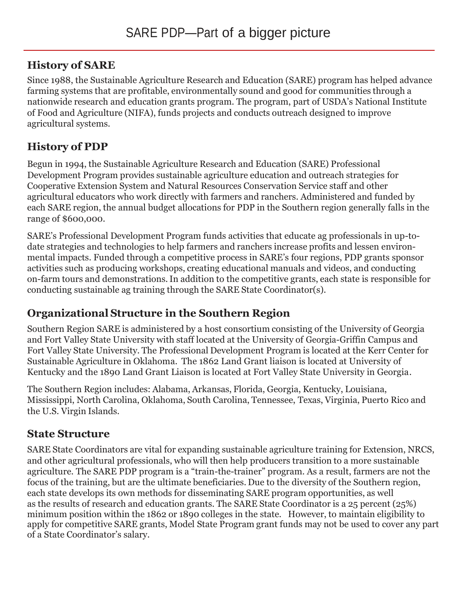### **History of SARE**

Since 1988, the Sustainable Agriculture Research and Education (SARE) program has helped advance farming systems that are profitable, environmentally sound and good for communities through a nationwide research and education grants program. The program, part of USDA's National Institute of Food and Agriculture (NIFA), funds projects and conducts outreach designed to improve agricultural systems.

## **History of PDP**

Begun in 1994, the Sustainable Agriculture Research and Education (SARE) Professional Development Program provides sustainable agriculture education and outreach strategies for Cooperative Extension System and Natural Resources Conservation Service staff and other agricultural educators who work directly with farmers and ranchers. Administered and funded by each SARE region, the annual budget allocations for PDP in the Southern region generally falls in the range of \$600,000.

SARE's Professional Development Program funds activities that educate ag professionals in up-todate strategies and technologies to help farmers and ranchers increase profits and lessen environmental impacts. Funded through a competitive process in SARE's four regions, PDP grants sponsor activities such as producing workshops, creating educational manuals and videos, and conducting on-farm tours and demonstrations.In addition to the competitive grants, each state is responsible for conducting sustainable ag training through the SARE State Coordinator(s).

# **Organizational Structure in the Southern Region**

Southern Region SARE is administered by a host consortium consisting of the University of Georgia and Fort Valley State University with staff located at the University of Georgia-Griffin Campus and Fort Valley State University. The Professional Development Program is located at the Kerr Center for Sustainable Agriculture in Oklahoma. The 1862 Land Grant liaison is located at University of Kentucky and the 1890 Land Grant Liaison is located at Fort Valley State University in Georgia.

The Southern Region includes: Alabama, Arkansas, Florida, Georgia, Kentucky, Louisiana, Mississippi, North Carolina, Oklahoma, South Carolina, Tennessee, Texas, Virginia, Puerto Rico and the U.S. Virgin Islands.

# **State Structure**

SARE State Coordinators are vital for expanding sustainable agriculture training for Extension, NRCS, and other agricultural professionals, who will then help producers transition to a more sustainable agriculture. The SARE PDP program is a "train-the-trainer" program. As a result, farmers are not the focus of the training, but are the ultimate beneficiaries. Due to the diversity of the Southern region, each state develops its own methods for disseminating SARE program opportunities, as well as the results of research and education grants. The SARE State Coordinator is a 25 percent (25%) minimum position within the 1862 or 1890 colleges in the state. However, to maintain eligibility to apply for competitive SARE grants, Model State Program grant funds may not be used to cover any part of a State Coordinator's salary.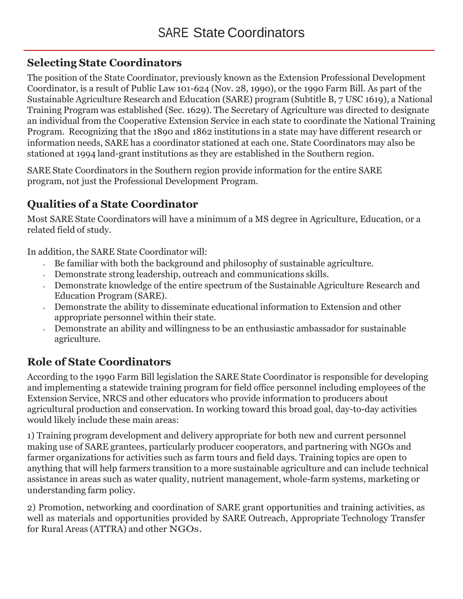## **Selecting State Coordinators**

The position of the State Coordinator, previously known as the Extension Professional Development Coordinator, is a result of Public Law 101-624 (Nov. 28, 1990), or the 1990 Farm Bill. As part of the Sustainable Agriculture Research and Education (SARE) program (Subtitle B, 7 USC 1619), a National Training Program was established (Sec. 1629). The Secretary of Agriculture was directed to designate an individual from the Cooperative Extension Service in each state to coordinate the National Training Program. Recognizing that the 1890 and 1862 institutions in a state may have different research or information needs, SARE has a coordinator stationed at each one. State Coordinators may also be stationed at 1994 land-grant institutions as they are established in the Southern region.

SARE State Coordinators in the Southern region provide information for the entire SARE program, not just the Professional Development Program.

## **Qualities of a State Coordinator**

Most SARE State Coordinators will have a minimum of a MS degree in Agriculture, Education, or a related field of study.

In addition, the SARE State Coordinator will:

- $\overline{B}$  Be familiar with both the background and philosophy of sustainable agriculture.
- Demonstrate strong leadership, outreach and communications skills.
- Demonstrate knowledge of the entire spectrum of the Sustainable Agriculture Research and Education Program (SARE).
- Demonstrate the ability to disseminate educational information to Extension and other appropriate personnel within their state.
- Demonstrate an ability and willingness to be an enthusiastic ambassador for sustainable  $\epsilon$ agriculture.

# **Role of State Coordinators**

According to the 1990 Farm Bill legislation the SARE State Coordinator is responsible for developing and implementing a statewide training program for field office personnel including employees of the Extension Service, NRCS and other educators who provide information to producers about agricultural production and conservation. In working toward this broad goal, day-to-day activities would likely include these main areas:

1) Training program development and delivery appropriate for both new and current personnel making use of SARE grantees, particularly producer cooperators, and partnering with NGOs and farmer organizations for activities such as farm tours and field days. Training topics are open to anything that will help farmers transition to a more sustainable agriculture and can include technical assistance in areas such as water quality, nutrient management, whole-farm systems, marketing or understanding farm policy.

2) Promotion, networking and coordination of SARE grant opportunities and training activities, as well as materials and opportunities provided by SARE Outreach, Appropriate Technology Transfer for Rural Areas (ATTRA) and other NGOs.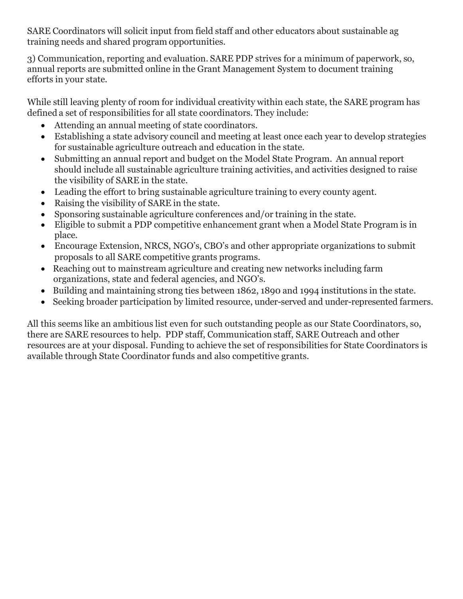SARE Coordinators will solicit input from field staff and other educators about sustainable ag training needs and shared program opportunities.

3) Communication, reporting and evaluation. SARE PDP strives for a minimum of paperwork, so, annual reports are submitted online in the Grant Management System to document training efforts in your state.

While still leaving plenty of room for individual creativity within each state, the SARE program has defined a set of responsibilities for all state coordinators. They include:

- Attending an annual meeting of state coordinators.
- Establishing a state advisory council and meeting at least once each year to develop strategies for sustainable agriculture outreach and education in the state.
- Submitting an annual report and budget on the Model State Program. An annual report should include all sustainable agriculture training activities, and activities designed to raise the visibility of SARE in the state.
- Leading the effort to bring sustainable agriculture training to every county agent.
- Raising the visibility of SARE in the state.
- Sponsoring sustainable agriculture conferences and/or training in the state.
- Eligible to submit a PDP competitive enhancement grant when a Model State Program is in place.
- Encourage Extension, NRCS, NGO's, CBO's and other appropriate organizations to submit proposals to all SARE competitive grants programs.
- Reaching out to mainstream agriculture and creating new networks including farm organizations, state and federal agencies, and NGO's.
- Building and maintaining strong ties between 1862, 1890 and 1994 institutions in the state.
- Seeking broader participation by limited resource, under-served and under-represented farmers.

All this seems like an ambitious list even for such outstanding people as our State Coordinators, so, there are SARE resources to help. PDP staff, Communication staff, SARE Outreach and other resources are at your disposal. Funding to achieve the set of responsibilities for State Coordinators is available through State Coordinator funds and also competitive grants.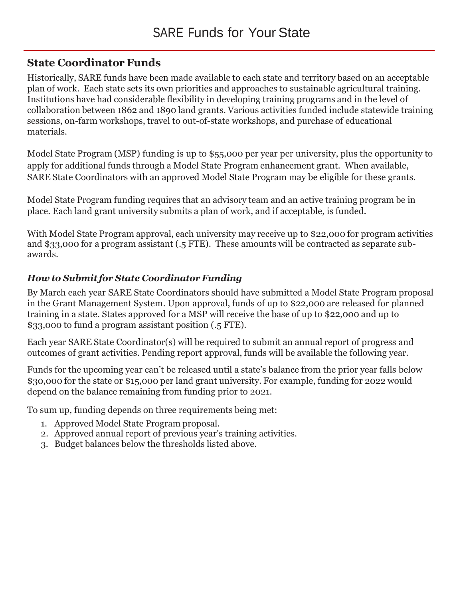#### **State Coordinator Funds**

Historically, SARE funds have been made available to each state and territory based on an acceptable plan of work. Each state sets its own priorities and approaches to sustainable agricultural training. Institutions have had considerable flexibility in developing training programs and in the level of collaboration between 1862 and 1890 land grants. Various activities funded include statewide training sessions, on-farm workshops, travel to out-of-state workshops, and purchase of educational materials.

Model State Program (MSP) funding is up to \$55,000 per year per university, plus the opportunity to apply for additional funds through a Model State Program enhancement grant. When available, SARE State Coordinators with an approved Model State Program may be eligible for these grants.

Model State Program funding requires that an advisory team and an active training program be in place. Each land grant university submits a plan of work, and if acceptable, is funded.

With Model State Program approval, each university may receive up to \$22,000 for program activities and \$33,000 for a program assistant (.5 FTE). These amounts will be contracted as separate subawards.

#### *How to Submit for State Coordinator Funding*

By March each year SARE State Coordinators should have submitted a Model State Program proposal in the Grant Management System. Upon approval, funds of up to \$22,000 are released for planned training in a state. States approved for a MSP will receive the base of up to \$22,000 and up to \$33,000 to fund a program assistant position (.5 FTE).

Each year SARE State Coordinator(s) will be required to submit an annual report of progress and outcomes of grant activities. Pending report approval, funds will be available the following year.

Funds for the upcoming year can't be released until a state's balance from the prior year falls below \$30,000 for the state or \$15,000 per land grant university. For example, funding for 2022 would depend on the balance remaining from funding prior to 2021.

To sum up, funding depends on three requirements being met:

- 1. Approved Model State Program proposal.
- 2. Approved annual report of previous year's training activities.
- 3. Budget balances below the thresholds listed above.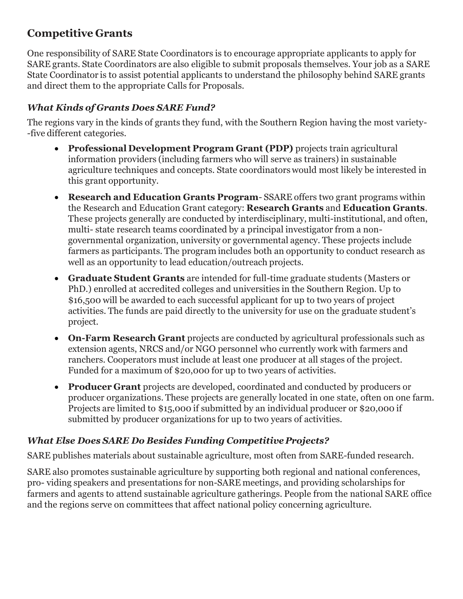## **Competitive Grants**

One responsibility of SARE State Coordinators is to encourage appropriate applicants to apply for SARE grants. State Coordinators are also eligible to submit proposals themselves. Your job as a SARE State Coordinator is to assist potential applicants to understand the philosophy behind SARE grants and direct them to the appropriate Calls for Proposals.

#### *What Kinds of Grants Does SARE Fund?*

The regions vary in the kinds of grants they fund, with the Southern Region having the most variety- -five different categories.

- **Professional Development Program Grant (PDP)** projects train agricultural information providers (including farmers who will serve as trainers) in sustainable agriculture techniques and concepts. State coordinators would most likely be interested in this grant opportunity.
- **Research and Education Grants Program** SSARE offers two grant programs within the Research and Education Grant category: **Research Grants** and **Education Grants**. These projects generally are conducted by interdisciplinary, multi-institutional, and often, multi- state research teams coordinated by a principal investigator from a nongovernmental organization, university or governmental agency. These projects include farmers as participants. The program includes both an opportunity to conduct research as well as an opportunity to lead education/outreach projects.
- **Graduate Student Grants** are intended for full-time graduate students (Masters or PhD.) enrolled at accredited colleges and universities in the Southern Region. Up to \$16,500 will be awarded to each successful applicant for up to two years of project activities. The funds are paid directly to the university for use on the graduate student's project.
- **On-Farm Research Grant** projects are conducted by agricultural professionals such as extension agents, NRCS and/or NGO personnel who currently work with farmers and ranchers. Cooperators must include at least one producer at all stages of the project. Funded for a maximum of \$20,000 for up to two years of activities.
- **Producer Grant** projects are developed, coordinated and conducted by producers or producer organizations. These projects are generally located in one state, often on one farm. Projects are limited to \$15,000 if submitted by an individual producer or \$20,000 if submitted by producer organizations for up to two years of activities.

#### *What Else Does SARE Do Besides Funding Competitive Projects?*

SARE publishes materials about sustainable agriculture, most often from SARE-funded research.

SARE also promotes sustainable agriculture by supporting both regional and national conferences, pro- viding speakers and presentations for non-SARE meetings, and providing scholarships for farmers and agents to attend sustainable agriculture gatherings. People from the national SARE office and the regions serve on committees that affect national policy concerning agriculture.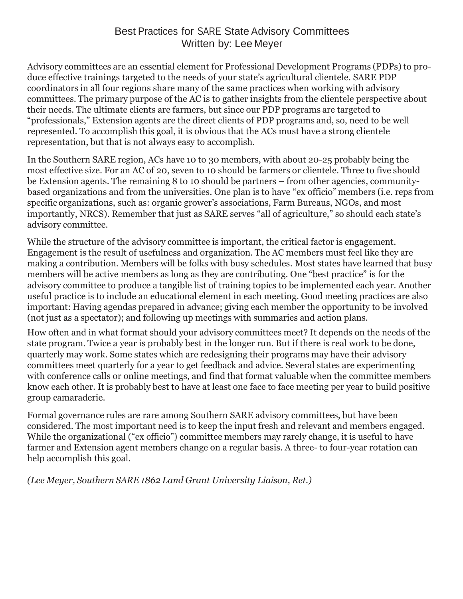#### Best Practices for SARE State Advisory Committees Written by: Lee Meyer

Advisory committees are an essential element for Professional Development Programs (PDPs) to produce effective trainings targeted to the needs of your state's agricultural clientele. SARE PDP coordinators in all four regions share many of the same practices when working with advisory committees. The primary purpose of the AC is to gather insights from the clientele perspective about their needs. The ultimate clients are farmers, but since our PDP programs are targeted to "professionals," Extension agents are the direct clients of PDP programs and, so, need to be well represented. To accomplish this goal, it is obvious that the ACs must have a strong clientele representation, but that is not always easy to accomplish.

In the Southern SARE region, ACs have 10 to 30 members, with about 20-25 probably being the most effective size. For an AC of 20, seven to 10 should be farmers or clientele. Three to five should be Extension agents. The remaining 8 to 10 should be partners – from other agencies, communitybased organizations and from the universities. One plan is to have "ex officio" members (i.e. reps from specific organizations, such as: organic grower's associations, Farm Bureaus, NGOs, and most importantly, NRCS). Remember that just as SARE serves "all of agriculture," so should each state's advisory committee.

While the structure of the advisory committee is important, the critical factor is engagement. Engagement is the result of usefulness and organization. The AC members must feel like they are making a contribution. Members will be folks with busy schedules. Most states have learned that busy members will be active members as long as they are contributing. One "best practice" is for the advisory committee to produce a tangible list of training topics to be implemented each year. Another useful practice is to include an educational element in each meeting. Good meeting practices are also important: Having agendas prepared in advance; giving each member the opportunity to be involved (not just as a spectator); and following up meetings with summaries and action plans.

How often and in what format should your advisory committees meet? It depends on the needs of the state program. Twice a year is probably best in the longer run. But if there is real work to be done, quarterly may work. Some states which are redesigning their programs may have their advisory committees meet quarterly for a year to get feedback and advice. Several states are experimenting with conference calls or online meetings, and find that format valuable when the committee members know each other. It is probably best to have at least one face to face meeting per year to build positive group camaraderie.

Formal governance rules are rare among Southern SARE advisory committees, but have been considered. The most important need is to keep the input fresh and relevant and members engaged. While the organizational ("ex officio") committee members may rarely change, it is useful to have farmer and Extension agent members change on a regular basis. A three- to four-year rotation can help accomplish this goal.

*(Lee Meyer, Southern SARE 1862 Land Grant University Liaison, Ret.)*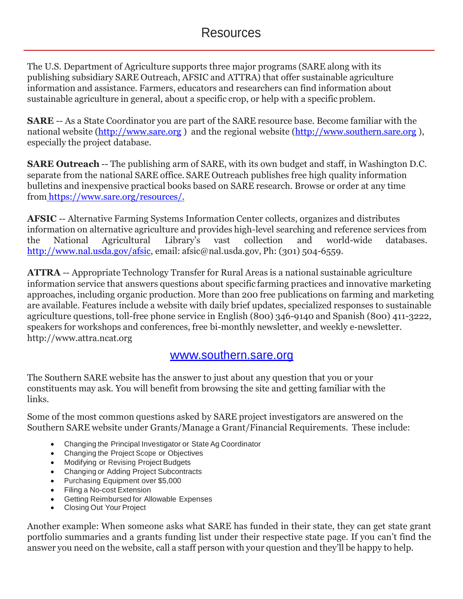The U.S. Department of Agriculture supports three major programs (SARE along with its publishing subsidiary SARE Outreach, AFSIC and ATTRA) that offer sustainable agriculture information and assistance. Farmers, educators and researchers can find information about sustainable agriculture in general, about a specific crop, or help with a specific problem.

**SARE** -- As a State Coordinator you are part of the SARE resource base. Become familiar with the national website [\(http://www.sare.org](http://www.sare.org/) ) and the regional website [\(http://www.southern.sare.org](http://www.southern.sare.org/) ), especially the project database.

**SARE Outreach** -- The publishing arm of SARE, with its own budget and staff, in Washington D.C. separate from the national SARE office. SARE Outreach publishes free high quality information bulletins and inexpensive practical books based on SARE research. Browse or order at any time from [https://www.sare.org/resources/.](https://www.sare.org/resources/)

**AFSIC** -- Alternative Farming Systems Information Center collects, organizes and distributes information on alternative agriculture and provides high-level searching and reference services from the National [Agricultural](http://www.nal.usda.gov/) Library's vast collection and world-wide databases. [http://www.nal.usda.gov/afsic,](http://www.nal.usda.gov/afsic) email: [afsic@nal.usda.gov,](mailto:afsic@nal.usda.gov) Ph: (301) 504-6559.

**ATTRA** -- Appropriate Technology Transfer for Rural Areas is a national sustainable agriculture information service that answers questions about specific farming practices and innovative marketing approaches, including organic production. More than 200 free publications on farming and marketing are available. Features include a website with daily brief updates, specialized responses to sustainable agriculture questions, toll-free phone service in English (800) 346-9140 and Spanish (800) 411-3222, speakers for workshops and conferences, free bi-monthly newsletter, and weekly e-newsletter. http:/[/www.attra.ncat.org](http://www.attra.ncat.org/) 

## [www.southern.sare.org](http://www.southern.sare.org/)

The Southern SARE website has the answer to just about any question that you or your constituents may ask. You will benefit from browsing the site and getting familiar with the links.

Some of the most common questions asked by SARE project investigators are answered on the Southern SARE website under Grants/Manage a Grant/Financial Requirements. These include:

- Changing the Principal Investigator or State Ag Coordinator
- Changing the Project Scope or Objectives
- Modifying or Revising Project Budgets
- Changing or Adding Project Subcontracts
- Purchasing Equipment over \$5,000
- Filing a No-cost Extension
- Getting Reimbursed for Allowable Expenses
- Closing Out Your Project

Another example: When someone asks what SARE has funded in their state, they can get state grant portfolio summaries and a grants funding list under their respective state page. If you can't find the answer you need on the website, call a staff person with your question and they'll be happy to help.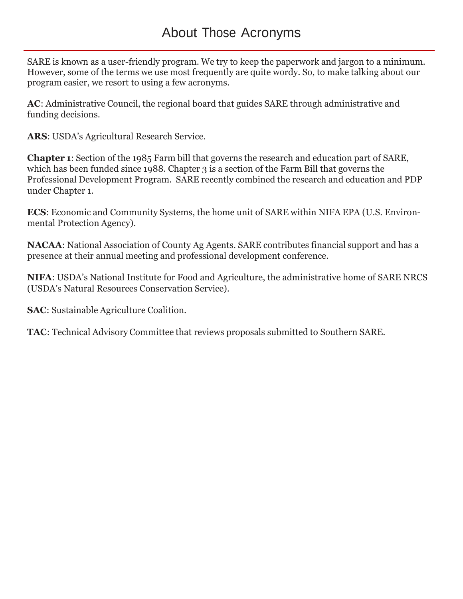SARE is known as a user-friendly program. We try to keep the paperwork and jargon to a minimum. However, some of the terms we use most frequently are quite wordy. So, to make talking about our program easier, we resort to using a few acronyms.

**AC**: Administrative Council, the regional board that guides SARE through administrative and funding decisions.

**ARS**: USDA's Agricultural Research Service.

**Chapter 1**: Section of the 1985 Farm bill that governs the research and education part of SARE, which has been funded since 1988. Chapter 3 is a section of the Farm Bill that governs the Professional Development Program. SARE recently combined the research and education and PDP under Chapter 1.

**ECS**: Economic and Community Systems, the home unit of SARE within NIFA EPA (U.S. Environmental Protection Agency).

**NACAA**: National Association of County Ag Agents. SARE contributes financial support and has a presence at their annual meeting and professional development conference.

**NIFA**: USDA's National Institute for Food and Agriculture, the administrative home of SARE NRCS (USDA's Natural Resources Conservation Service).

**SAC**: Sustainable Agriculture Coalition.

**TAC**: Technical Advisory Committee that reviews proposals submitted to Southern SARE.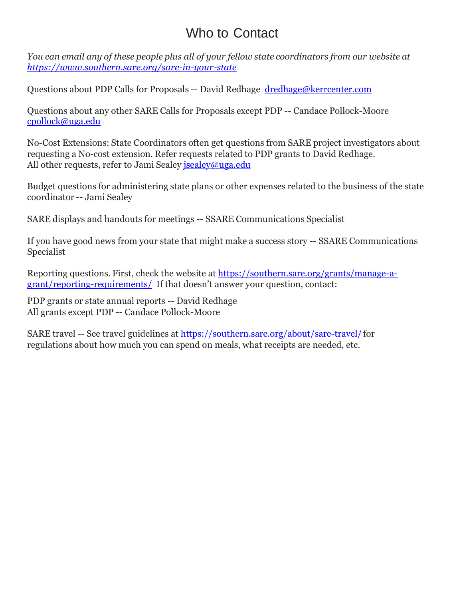# Who to Contact

*You can email any of these people plus all of your fellow state coordinators from our website at <https://www.southern.sare.org/sare-in-your-state>*

Questions about PDP Calls for Proposals -- David Redhage [dredhage@kerrcenter.com](mailto:dredhage@kerrcenter.com)

Questions about any other SARE Calls for Proposals except PDP -- Candace Pollock-Moore [cpollock@uga.edu](mailto:cpollock@uga.edu)

No-Cost Extensions: State Coordinators often get questions from SARE project investigators about requesting a No-cost extension. Refer requests related to PDP grants to David Redhage. All other requests, refer to Jami Sealey [jsealey@uga.edu](mailto:jsealey@uga.edu)

Budget questions for administering state plans or other expenses related to the business of the state coordinator -- Jami Sealey

SARE displays and handouts for meetings -- SSARE Communications Specialist

If you have good news from your state that might make a success story -- SSARE Communications Specialist

Reporting questions. First, check the website at [https://southern.sare.org/grants/manage-a](https://southern.sare.org/grants/manage-a-%20grant/reporting-requirements/)[grant/reporting-requirements/](https://southern.sare.org/grants/manage-a-%20grant/reporting-requirements/) If that doesn't answer your question, contact:

PDP grants or state annual reports -- David Redhage All grants except PDP -- Candace Pollock-Moore

SARE travel -- See travel guidelines at <https://southern.sare.org/about/sare-travel/> for regulations about how much you can spend on meals, what receipts are needed, etc.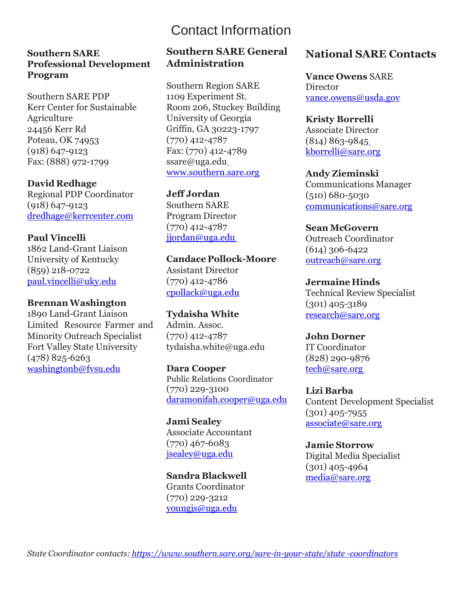# Contact Information

#### **Southern SARE Professional Development Program**

Southern SARE PDP Kerr Center for Sustainable Agriculture 24456 Kerr Rd Poteau, OK 74953 (918) 647-9123 Fax: (888) 972-1799

**David Redhage** Regional PDP Coordinator (918) 647-9123 [dredhage@kerrcenter.com](mailto:dredhage@kerrcenter.com)

#### **Paul Vincelli** 1862 Land-Grant Liaison University of Kentucky

(859) 218-0722 paul.vincelli@uky.edu

#### **BrennanWashington**

1890 Land-Grant Liaison Limited Resource Farmer and Minority Outreach Specialist Fort Valley State University (478) 825-6263 [washingtonb@fvsu.edu](mailto:washingtonb@fvsu.edu)

#### **Southern SARE General Administration**

Southern Region SARE 1109 Experiment St. Room 206, Stuckey Building University of Georgia Griffin, GA 30223-1797 (770) 412-4787 Fax: (770) 412-478[9](mailto:ssare@uga.edu) [ssare@uga.edu](mailto:ssare@uga.edu) www.southern.sare.org

**Jeff Jordan**  Southern SARE

Program Director (770) 412-4787 [jjordan@uga.edu](mailto:jjordan@uga.edu)

**Candace Pollock-Moore** Assistant Director (770) 412-4786 [cpollack@uga.edu](mailto:cpollack@uga.edu)

**Tydaisha White** Admin. Assoc. (770) 412-4787 tydaisha.whit[e@uga.edu](mailto:ahollar@uga.edu)

**Dara Cooper** Public Relations Coordinator (770) 229-3100 [daramonifah.cooper@uga.edu](mailto:daramonifah.cooper@uga.edu)

**Jami Sealey**  Associate Accountant (770) 467-6083 [jsealey@uga.edu](mailto:jsealey@uga.edu)

**Sandra Blackwell**  Grants Coordinator (770) 229-3212 [youngjs@uga.edu](mailto:youngjs@uga.edu)

#### **National SARE Contacts**

**Vance Owens** SARE **Di[r](mailto:vance.owens@usda.gov)ector** [vance.owens@usda.gov](mailto:vance.owens@usda.gov)

**Kristy Borrelli** Associate Director (814) 863-984[5](mailto:%20kborrelli@sare.org) [kborrelli@sare.org](mailto:%20kborrelli@sare.org)

**Andy Zieminski**  Communications Manager (510) 680-5030 [communications@sare.org](mailto:communications@sare.org)

**Sean McGovern**  Outreach Coordinator (614) 306-6422 [outreach@sare.org](mailto:outreach@sare.org)

**Jermaine Hinds**  Technical Review Specialist (301) 405-3189 [research@sare.org](mailto:research@sare.org)

**John Dorner**  IT Coordinator (828) 290-9876 [tech@sare.org](mailto:tech@sare.org)

**Lizi Barba** Content Development Specialist (301) 405-7955 [associate@sare.org](mailto:associate@sare.org)

**Jamie Storrow** Digital Media Specialist (301) 405-4964 [media@sare.org](mailto:media@sare.org)